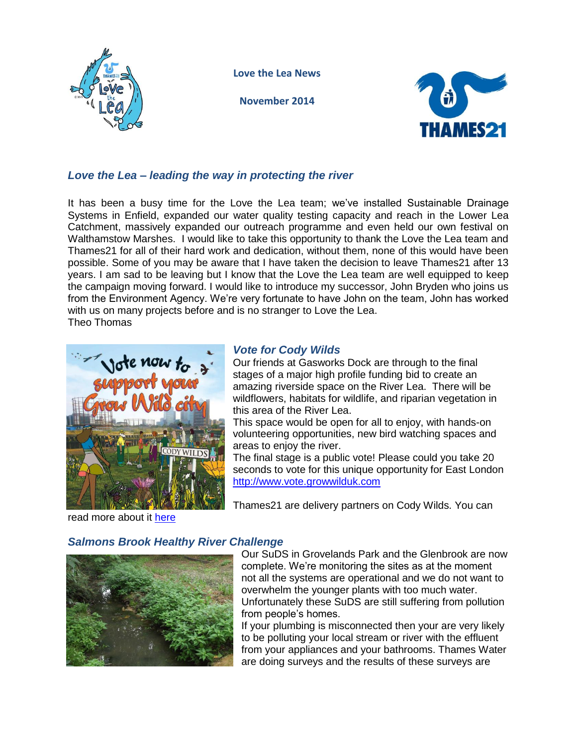

**Love the Lea News**

**November 2014**



# *Love the Lea – leading the way in protecting the river*

It has been a busy time for the Love the Lea team; we've installed Sustainable Drainage Systems in Enfield, expanded our water quality testing capacity and reach in the Lower Lea Catchment, massively expanded our outreach programme and even held our own festival on Walthamstow Marshes. I would like to take this opportunity to thank the Love the Lea team and Thames21 for all of their hard work and dedication, without them, none of this would have been possible. Some of you may be aware that I have taken the decision to leave Thames21 after 13 years. I am sad to be leaving but I know that the Love the Lea team are well equipped to keep the campaign moving forward. I would like to introduce my successor, John Bryden who joins us from the Environment Agency. We're very fortunate to have John on the team, John has worked with us on many projects before and is no stranger to Love the Lea. Theo Thomas



### *Vote for Cody Wilds*

Our friends at Gasworks Dock are through to the final stages of a major high profile funding bid to create an amazing riverside space on the River Lea. There will be wildflowers, habitats for wildlife, and riparian vegetation in this area of the River Lea.

This space would be open for all to enjoy, with hands-on volunteering opportunities, new bird watching spaces and areas to enjoy the river.

The final stage is a public vote! Please could you take 20 seconds to vote for this unique opportunity for East London [http://www.vote.growwilduk.com](http://www.vote.growwilduk.com/)

Thames21 are delivery partners on Cody Wilds. You can

read more about it [here](http://www.gasworksdock.org.uk/index.php?page=cody-wilds)

## *Salmons Brook Healthy River Challenge*



Our SuDS in Grovelands Park and the Glenbrook are now complete. We're monitoring the sites as at the moment not all the systems are operational and we do not want to overwhelm the younger plants with too much water. Unfortunately these SuDS are still suffering from pollution from people's homes.

If your plumbing is misconnected then your are very likely to be polluting your local stream or river with the effluent from your appliances and your bathrooms. Thames Water are doing surveys and the results of these surveys are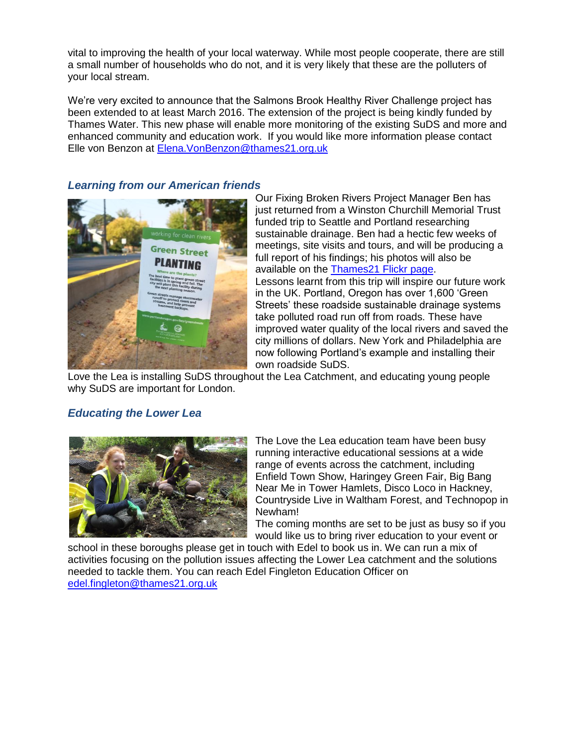vital to improving the health of your local waterway. While most people cooperate, there are still a small number of households who do not, and it is very likely that these are the polluters of your local stream.

We're very excited to announce that the Salmons Brook Healthy River Challenge project has been extended to at least March 2016. The extension of the project is being kindly funded by Thames Water. This new phase will enable more monitoring of the existing SuDS and more and enhanced community and education work. If you would like more information please contact Elle von Benzon at [Elena.VonBenzon@thames21.org.uk](mailto:Elena.VonBenzon@thames21.org.uk)

### *Learning from our American friends*



Our Fixing Broken Rivers Project Manager Ben has just returned from a Winston Churchill Memorial Trust funded trip to Seattle and Portland researching sustainable drainage. Ben had a hectic few weeks of meetings, site visits and tours, and will be producing a full report of his findings; his photos will also be available on the [Thames21 Flickr page.](https://www.flickr.com/photos/thames21) Lessons learnt from this trip will inspire our future work in the UK. Portland, Oregon has over 1,600 'Green Streets' these roadside sustainable drainage systems take polluted road run off from roads. These have improved water quality of the local rivers and saved the city millions of dollars. New York and Philadelphia are now following Portland's example and installing their own roadside SuDS.

Love the Lea is installing SuDS throughout the Lea Catchment, and educating young people why SuDS are important for London.

### *Educating the Lower Lea*



The Love the Lea education team have been busy running interactive educational sessions at a wide range of events across the catchment, including Enfield Town Show, Haringey Green Fair, Big Bang Near Me in Tower Hamlets, Disco Loco in Hackney, Countryside Live in Waltham Forest, and Technopop in Newham!

The coming months are set to be just as busy so if you would like us to bring river education to your event or

school in these boroughs please get in touch with Edel to book us in. We can run a mix of activities focusing on the pollution issues affecting the Lower Lea catchment and the solutions needed to tackle them. You can reach Edel Fingleton Education Officer on [edel.fingleton@thames21.org.uk](mailto:edel.fingleton@thames21.org.uk)